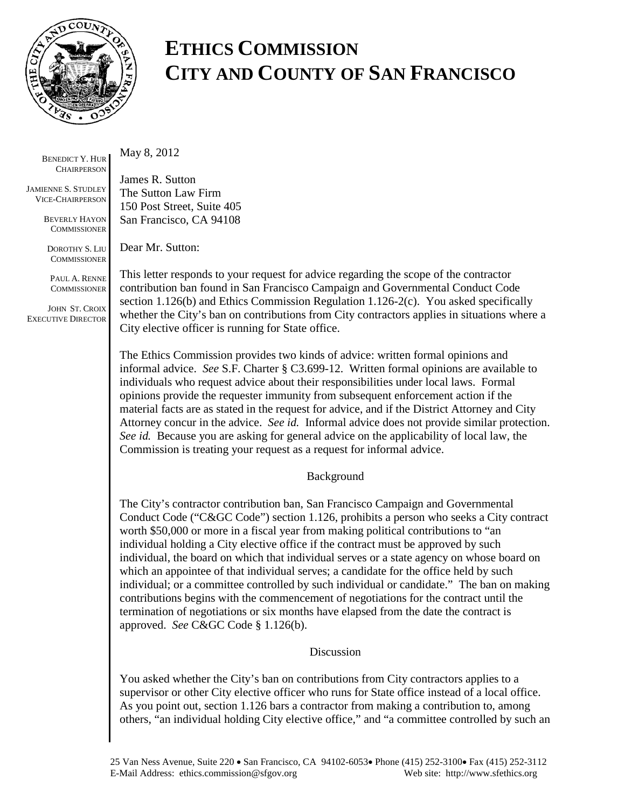

## **ETHICS COMMISSION CITY AND COUNTY OF SAN FRANCISCO**

BENEDICT Y. HUR **CHAIRPERSON** 

JAMIENNE S. STUDLEY VICE-CHAIRPERSON

> BEVERLY HAYON **COMMISSIONER**

DOROTHY S. LIU **COMMISSIONER** 

PAUL A. RENNE **COMMISSIONER** 

JOHN ST. CROIX EXECUTIVE DIRECTOR May 8, 2012

James R. Sutton The Sutton Law Firm 150 Post Street, Suite 405 San Francisco, CA 94108

Dear Mr. Sutton:

This letter responds to your request for advice regarding the scope of the contractor contribution ban found in San Francisco Campaign and Governmental Conduct Code section 1.126(b) and Ethics Commission Regulation 1.126-2(c). You asked specifically whether the City's ban on contributions from City contractors applies in situations where a City elective officer is running for State office.

The Ethics Commission provides two kinds of advice: written formal opinions and informal advice. *See* S.F. Charter § C3.699-12. Written formal opinions are available to individuals who request advice about their responsibilities under local laws. Formal opinions provide the requester immunity from subsequent enforcement action if the material facts are as stated in the request for advice, and if the District Attorney and City Attorney concur in the advice. *See id.* Informal advice does not provide similar protection. *See id.* Because you are asking for general advice on the applicability of local law, the Commission is treating your request as a request for informal advice.

## Background

The City's contractor contribution ban, San Francisco Campaign and Governmental Conduct Code ("C&GC Code") section 1.126, prohibits a person who seeks a City contract worth \$50,000 or more in a fiscal year from making political contributions to "an individual holding a City elective office if the contract must be approved by such individual, the board on which that individual serves or a state agency on whose board on which an appointee of that individual serves; a candidate for the office held by such individual; or a committee controlled by such individual or candidate." The ban on making contributions begins with the commencement of negotiations for the contract until the termination of negotiations or six months have elapsed from the date the contract is approved. *See* C&GC Code § 1.126(b).

## Discussion

You asked whether the City's ban on contributions from City contractors applies to a supervisor or other City elective officer who runs for State office instead of a local office. As you point out, section 1.126 bars a contractor from making a contribution to, among others, "an individual holding City elective office," and "a committee controlled by such an